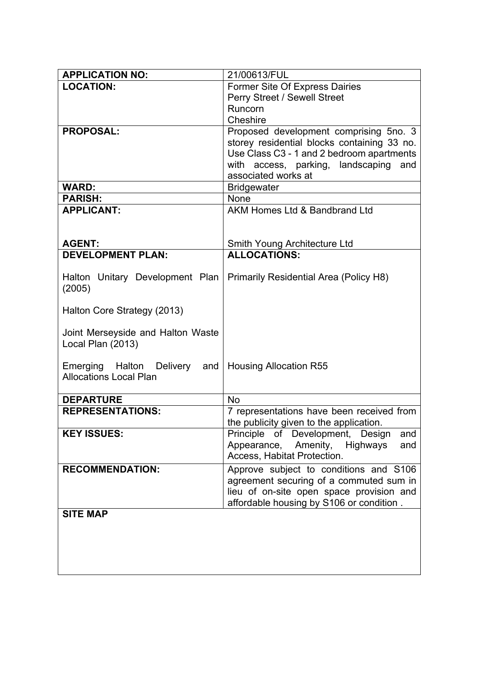| <b>APPLICATION NO:</b>                                           | 21/00613/FUL                                  |
|------------------------------------------------------------------|-----------------------------------------------|
| <b>LOCATION:</b>                                                 | Former Site Of Express Dairies                |
|                                                                  | Perry Street / Sewell Street                  |
|                                                                  | Runcorn                                       |
|                                                                  | Cheshire                                      |
| <b>PROPOSAL:</b>                                                 | Proposed development comprising 5no. 3        |
|                                                                  | storey residential blocks containing 33 no.   |
|                                                                  | Use Class C3 - 1 and 2 bedroom apartments     |
|                                                                  | access, parking, landscaping<br>with<br>and   |
|                                                                  | associated works at                           |
| <b>WARD:</b>                                                     | <b>Bridgewater</b>                            |
| <b>PARISH:</b>                                                   | None                                          |
| <b>APPLICANT:</b>                                                | AKM Homes Ltd & Bandbrand Ltd                 |
|                                                                  |                                               |
| <b>AGENT:</b>                                                    | Smith Young Architecture Ltd                  |
| <b>DEVELOPMENT PLAN:</b>                                         | <b>ALLOCATIONS:</b>                           |
|                                                                  |                                               |
| Halton Unitary Development Plan                                  | <b>Primarily Residential Area (Policy H8)</b> |
| (2005)                                                           |                                               |
|                                                                  |                                               |
| Halton Core Strategy (2013)                                      |                                               |
|                                                                  |                                               |
| Joint Merseyside and Halton Waste                                |                                               |
| Local Plan (2013)                                                |                                               |
|                                                                  |                                               |
| Emerging Halton Delivery<br>and<br><b>Allocations Local Plan</b> | <b>Housing Allocation R55</b>                 |
|                                                                  |                                               |
| <b>DEPARTURE</b>                                                 | <b>No</b>                                     |
| <b>REPRESENTATIONS:</b>                                          | 7 representations have been received from     |
|                                                                  | the publicity given to the application.       |
| <b>KEY ISSUES:</b>                                               | Principle of Development, Design<br>and       |
|                                                                  | Appearance, Amenity,<br>Highways<br>and       |
|                                                                  | Access, Habitat Protection.                   |
| <b>RECOMMENDATION:</b>                                           | Approve subject to conditions and S106        |
|                                                                  | agreement securing of a commuted sum in       |
|                                                                  | lieu of on-site open space provision and      |
|                                                                  | affordable housing by S106 or condition.      |
| <b>SITE MAP</b>                                                  |                                               |
|                                                                  |                                               |
|                                                                  |                                               |
|                                                                  |                                               |
|                                                                  |                                               |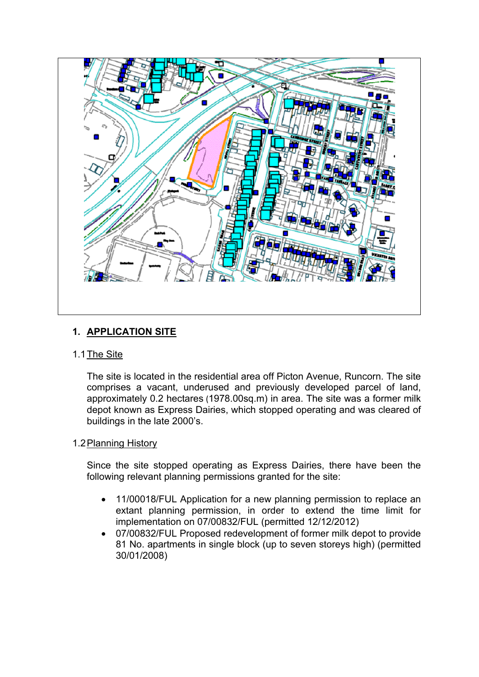

## **1. APPLICATION SITE**

## 1.1The Site

The site is located in the residential area off Picton Avenue, Runcorn. The site comprises a vacant, underused and previously developed parcel of land, approximately 0.2 hectares (1978.00sq.m) in area. The site was a former milk depot known as Express Dairies, which stopped operating and was cleared of buildings in the late 2000's.

## 1.2Planning History

Since the site stopped operating as Express Dairies, there have been the following relevant planning permissions granted for the site:

- 11/00018/FUL Application for a new planning permission to replace an extant planning permission, in order to extend the time limit for implementation on 07/00832/FUL (permitted 12/12/2012)
- 07/00832/FUL Proposed redevelopment of former milk depot to provide 81 No. apartments in single block (up to seven storeys high) (permitted 30/01/2008)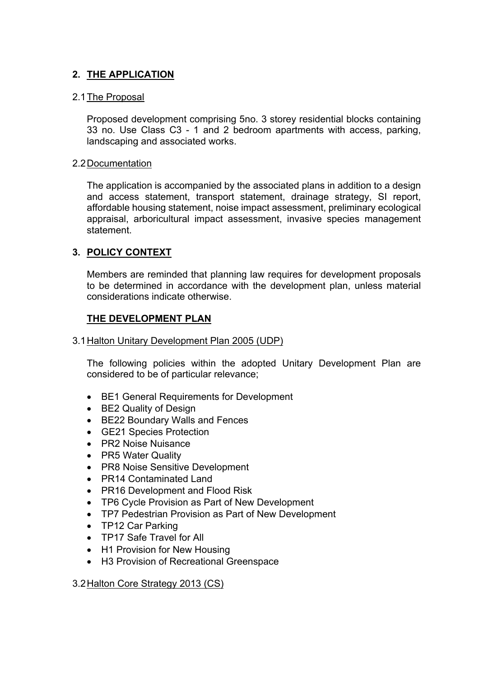## **2. THE APPLICATION**

## 2.1The Proposal

Proposed development comprising 5no. 3 storey residential blocks containing 33 no. Use Class C3 - 1 and 2 bedroom apartments with access, parking, landscaping and associated works.

### 2.2Documentation

The application is accompanied by the associated plans in addition to a design and access statement, transport statement, drainage strategy, SI report, affordable housing statement, noise impact assessment, preliminary ecological appraisal, arboricultural impact assessment, invasive species management statement.

## **3. POLICY CONTEXT**

Members are reminded that planning law requires for development proposals to be determined in accordance with the development plan, unless material considerations indicate otherwise.

## **THE DEVELOPMENT PLAN**

3.1Halton Unitary Development Plan 2005 (UDP)

The following policies within the adopted Unitary Development Plan are considered to be of particular relevance;

- BE1 General Requirements for Development
- BE2 Quality of Design
- BE22 Boundary Walls and Fences
- GE21 Species Protection
- PR2 Noise Nuisance
- PR5 Water Quality
- PR8 Noise Sensitive Development
- PR14 Contaminated Land
- PR16 Development and Flood Risk
- TP6 Cycle Provision as Part of New Development
- TP7 Pedestrian Provision as Part of New Development
- TP12 Car Parking
- TP17 Safe Travel for All
- H1 Provision for New Housing
- H3 Provision of Recreational Greenspace

3.2Halton Core Strategy 2013 (CS)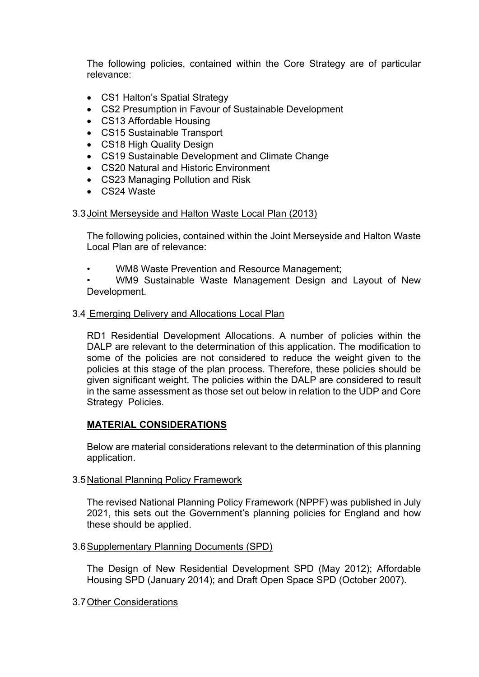The following policies, contained within the Core Strategy are of particular relevance:

- CS1 Halton's Spatial Strategy
- CS2 Presumption in Favour of Sustainable Development
- CS13 Affordable Housing
- CS15 Sustainable Transport
- CS18 High Quality Design
- CS19 Sustainable Development and Climate Change
- CS20 Natural and Historic Environment
- CS23 Managing Pollution and Risk
- CS24 Waste

## 3.3Joint Merseyside and Halton Waste Local Plan (2013)

The following policies, contained within the Joint Merseyside and Halton Waste Local Plan are of relevance:

• WM8 Waste Prevention and Resource Management;

• WM9 Sustainable Waste Management Design and Layout of New Development.

## 3.4 Emerging Delivery and Allocations Local Plan

RD1 Residential Development Allocations. A number of policies within the DALP are relevant to the determination of this application. The modification to some of the policies are not considered to reduce the weight given to the policies at this stage of the plan process. Therefore, these policies should be given significant weight. The policies within the DALP are considered to result in the same assessment as those set out below in relation to the UDP and Core Strategy Policies.

## **MATERIAL CONSIDERATIONS**

Below are material considerations relevant to the determination of this planning application.

## 3.5National Planning Policy Framework

The revised National Planning Policy Framework (NPPF) was published in July 2021, this sets out the Government's planning policies for England and how these should be applied.

## 3.6Supplementary Planning Documents (SPD)

The Design of New Residential Development SPD (May 2012); Affordable Housing SPD (January 2014); and Draft Open Space SPD (October 2007).

## 3.7Other Considerations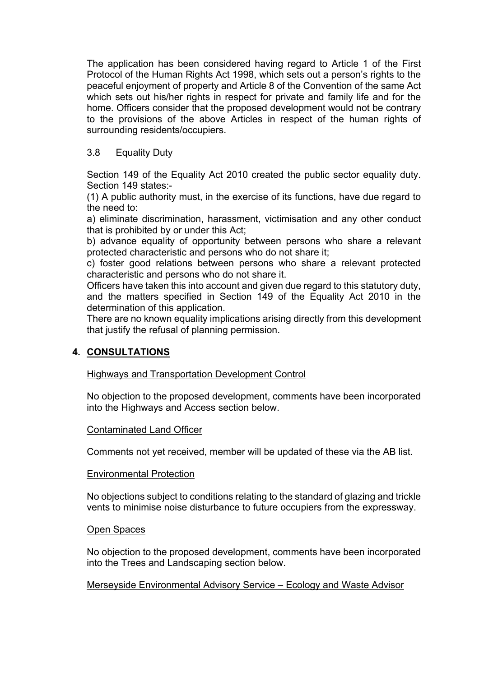The application has been considered having regard to Article 1 of the First Protocol of the Human Rights Act 1998, which sets out a person's rights to the peaceful enjoyment of property and Article 8 of the Convention of the same Act which sets out his/her rights in respect for private and family life and for the home. Officers consider that the proposed development would not be contrary to the provisions of the above Articles in respect of the human rights of surrounding residents/occupiers.

## 3.8 Equality Duty

Section 149 of the Equality Act 2010 created the public sector equality duty. Section 149 states:-

(1) A public authority must, in the exercise of its functions, have due regard to the need to:

a) eliminate discrimination, harassment, victimisation and any other conduct that is prohibited by or under this Act;

b) advance equality of opportunity between persons who share a relevant protected characteristic and persons who do not share it;

c) foster good relations between persons who share a relevant protected characteristic and persons who do not share it.

Officers have taken this into account and given due regard to this statutory duty, and the matters specified in Section 149 of the Equality Act 2010 in the determination of this application.

There are no known equality implications arising directly from this development that justify the refusal of planning permission.

## **4. CONSULTATIONS**

Highways and Transportation Development Control

No objection to the proposed development, comments have been incorporated into the Highways and Access section below.

## Contaminated Land Officer

Comments not yet received, member will be updated of these via the AB list.

#### Environmental Protection

No objections subject to conditions relating to the standard of glazing and trickle vents to minimise noise disturbance to future occupiers from the expressway.

## Open Spaces

No objection to the proposed development, comments have been incorporated into the Trees and Landscaping section below.

## Merseyside Environmental Advisory Service – Ecology and Waste Advisor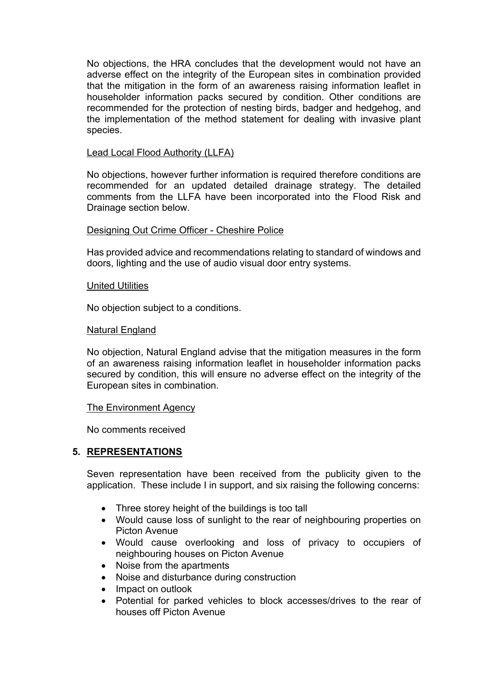No objections, the HRA concludes that the development would not have an adverse effect on the integrity of the European sites in combination provided that the mitigation in the form of an awareness raising information leaflet in householder information packs secured by condition. Other conditions are recommended for the protection of nesting birds, badger and hedgehog, and the implementation of the method statement for dealing with invasive plant species.

### Lead Local Flood Authority (LLFA)

No objections, however further information is required therefore conditions are recommended for an updated detailed drainage strategy. The detailed comments from the LLFA have been incorporated into the Flood Risk and Drainage section below.

#### Designing Out Crime Officer - Cheshire Police

Has provided advice and recommendations relating to standard of windows and doors, lighting and the use of audio visual door entry systems.

#### United Utilities

No objection subject to a conditions.

#### Natural England

No objection, Natural England advise that the mitigation measures in the form of an awareness raising information leaflet in householder information packs secured by condition, this will ensure no adverse effect on the integrity of the European sites in combination.

#### The Environment Agency

No comments received

#### **5. REPRESENTATIONS**

Seven representation have been received from the publicity given to the application. These include I in support, and six raising the following concerns:

- Three storey height of the buildings is too tall
- Would cause loss of sunlight to the rear of neighbouring properties on Picton Avenue
- Would cause overlooking and loss of privacy to occupiers of neighbouring houses on Picton Avenue
- Noise from the apartments
- Noise and disturbance during construction
- Impact on outlook
- Potential for parked vehicles to block accesses/drives to the rear of houses off Picton Avenue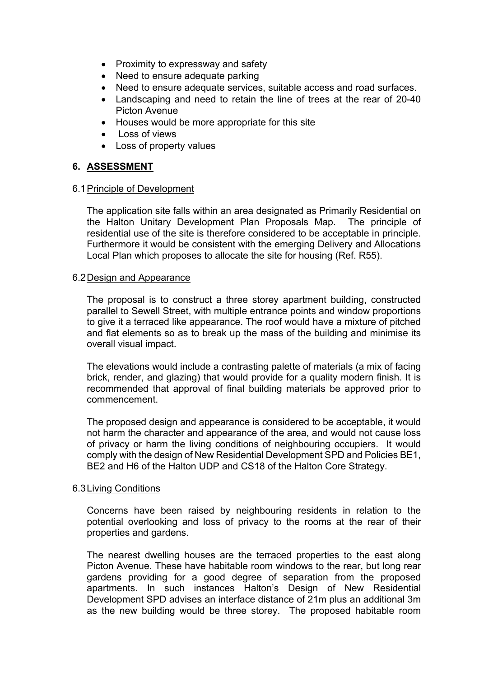- Proximity to expressway and safety
- Need to ensure adequate parking
- Need to ensure adequate services, suitable access and road surfaces.
- Landscaping and need to retain the line of trees at the rear of 20-40 Picton Avenue
- Houses would be more appropriate for this site
- Loss of views
- Loss of property values

## **6. ASSESSMENT**

#### 6.1Principle of Development

The application site falls within an area designated as Primarily Residential on the Halton Unitary Development Plan Proposals Map. The principle of residential use of the site is therefore considered to be acceptable in principle. Furthermore it would be consistent with the emerging Delivery and Allocations Local Plan which proposes to allocate the site for housing (Ref. R55).

## 6.2Design and Appearance

The proposal is to construct a three storey apartment building, constructed parallel to Sewell Street, with multiple entrance points and window proportions to give it a terraced like appearance. The roof would have a mixture of pitched and flat elements so as to break up the mass of the building and minimise its overall visual impact.

The elevations would include a contrasting palette of materials (a mix of facing brick, render, and glazing) that would provide for a quality modern finish. It is recommended that approval of final building materials be approved prior to commencement.

The proposed design and appearance is considered to be acceptable, it would not harm the character and appearance of the area, and would not cause loss of privacy or harm the living conditions of neighbouring occupiers. It would comply with the design of New Residential Development SPD and Policies BE1, BE2 and H6 of the Halton UDP and CS18 of the Halton Core Strategy.

#### 6.3Living Conditions

Concerns have been raised by neighbouring residents in relation to the potential overlooking and loss of privacy to the rooms at the rear of their properties and gardens.

The nearest dwelling houses are the terraced properties to the east along Picton Avenue. These have habitable room windows to the rear, but long rear gardens providing for a good degree of separation from the proposed apartments. In such instances Halton's Design of New Residential Development SPD advises an interface distance of 21m plus an additional 3m as the new building would be three storey. The proposed habitable room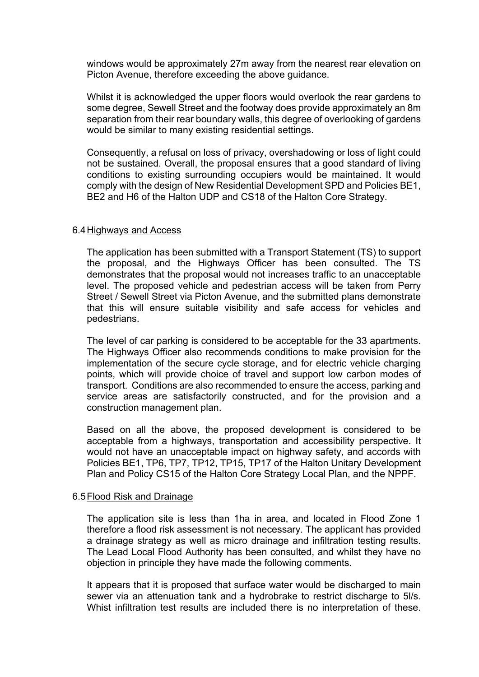windows would be approximately 27m away from the nearest rear elevation on Picton Avenue, therefore exceeding the above guidance.

Whilst it is acknowledged the upper floors would overlook the rear gardens to some degree, Sewell Street and the footway does provide approximately an 8m separation from their rear boundary walls, this degree of overlooking of gardens would be similar to many existing residential settings.

Consequently, a refusal on loss of privacy, overshadowing or loss of light could not be sustained. Overall, the proposal ensures that a good standard of living conditions to existing surrounding occupiers would be maintained. It would comply with the design of New Residential Development SPD and Policies BE1, BE2 and H6 of the Halton UDP and CS18 of the Halton Core Strategy.

#### 6.4Highways and Access

The application has been submitted with a Transport Statement (TS) to support the proposal, and the Highways Officer has been consulted. The TS demonstrates that the proposal would not increases traffic to an unacceptable level. The proposed vehicle and pedestrian access will be taken from Perry Street / Sewell Street via Picton Avenue, and the submitted plans demonstrate that this will ensure suitable visibility and safe access for vehicles and pedestrians.

The level of car parking is considered to be acceptable for the 33 apartments. The Highways Officer also recommends conditions to make provision for the implementation of the secure cycle storage, and for electric vehicle charging points, which will provide choice of travel and support low carbon modes of transport. Conditions are also recommended to ensure the access, parking and service areas are satisfactorily constructed, and for the provision and a construction management plan.

Based on all the above, the proposed development is considered to be acceptable from a highways, transportation and accessibility perspective. It would not have an unacceptable impact on highway safety, and accords with Policies BE1, TP6, TP7, TP12, TP15, TP17 of the Halton Unitary Development Plan and Policy CS15 of the Halton Core Strategy Local Plan, and the NPPF.

#### 6.5Flood Risk and Drainage

The application site is less than 1ha in area, and located in Flood Zone 1 therefore a flood risk assessment is not necessary. The applicant has provided a drainage strategy as well as micro drainage and infiltration testing results. The Lead Local Flood Authority has been consulted, and whilst they have no objection in principle they have made the following comments.

It appears that it is proposed that surface water would be discharged to main sewer via an attenuation tank and a hydrobrake to restrict discharge to 5l/s. Whist infiltration test results are included there is no interpretation of these.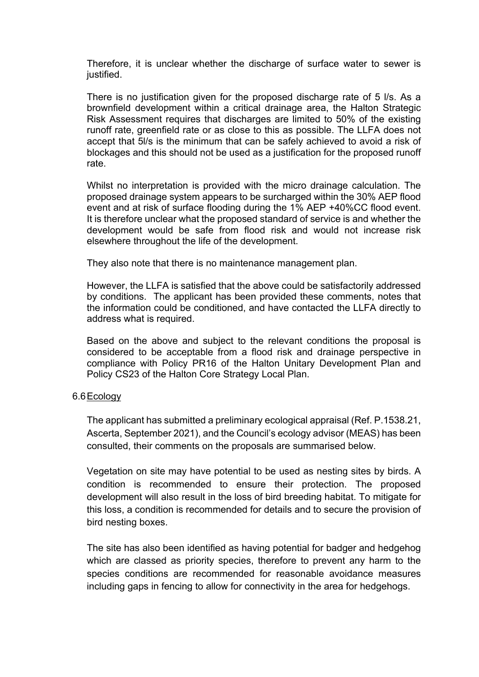Therefore, it is unclear whether the discharge of surface water to sewer is justified.

There is no justification given for the proposed discharge rate of 5 l/s. As a brownfield development within a critical drainage area, the Halton Strategic Risk Assessment requires that discharges are limited to 50% of the existing runoff rate, greenfield rate or as close to this as possible. The LLFA does not accept that 5l/s is the minimum that can be safely achieved to avoid a risk of blockages and this should not be used as a justification for the proposed runoff rate.

Whilst no interpretation is provided with the micro drainage calculation. The proposed drainage system appears to be surcharged within the 30% AEP flood event and at risk of surface flooding during the 1% AEP +40%CC flood event. It is therefore unclear what the proposed standard of service is and whether the development would be safe from flood risk and would not increase risk elsewhere throughout the life of the development.

They also note that there is no maintenance management plan.

However, the LLFA is satisfied that the above could be satisfactorily addressed by conditions. The applicant has been provided these comments, notes that the information could be conditioned, and have contacted the LLFA directly to address what is required.

Based on the above and subject to the relevant conditions the proposal is considered to be acceptable from a flood risk and drainage perspective in compliance with Policy PR16 of the Halton Unitary Development Plan and Policy CS23 of the Halton Core Strategy Local Plan.

## 6.6Ecology

The applicant has submitted a preliminary ecological appraisal (Ref. P.1538.21, Ascerta, September 2021), and the Council's ecology advisor (MEAS) has been consulted, their comments on the proposals are summarised below.

Vegetation on site may have potential to be used as nesting sites by birds. A condition is recommended to ensure their protection. The proposed development will also result in the loss of bird breeding habitat. To mitigate for this loss, a condition is recommended for details and to secure the provision of bird nesting boxes.

The site has also been identified as having potential for badger and hedgehog which are classed as priority species, therefore to prevent any harm to the species conditions are recommended for reasonable avoidance measures including gaps in fencing to allow for connectivity in the area for hedgehogs.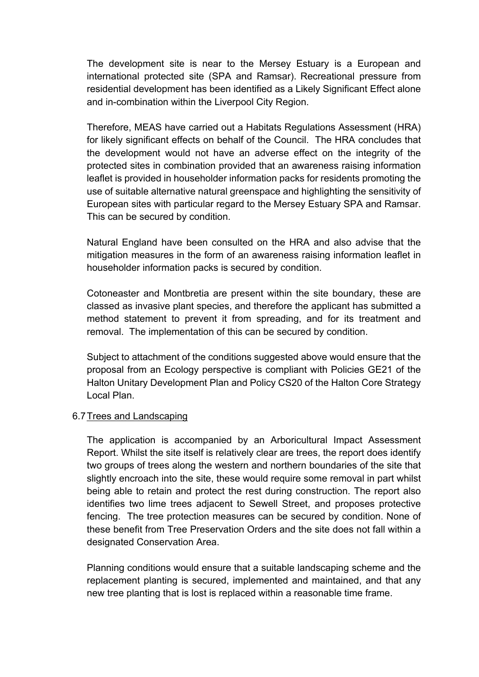The development site is near to the Mersey Estuary is a European and international protected site (SPA and Ramsar). Recreational pressure from residential development has been identified as a Likely Significant Effect alone and in-combination within the Liverpool City Region.

Therefore, MEAS have carried out a Habitats Regulations Assessment (HRA) for likely significant effects on behalf of the Council. The HRA concludes that the development would not have an adverse effect on the integrity of the protected sites in combination provided that an awareness raising information leaflet is provided in householder information packs for residents promoting the use of suitable alternative natural greenspace and highlighting the sensitivity of European sites with particular regard to the Mersey Estuary SPA and Ramsar. This can be secured by condition.

Natural England have been consulted on the HRA and also advise that the mitigation measures in the form of an awareness raising information leaflet in householder information packs is secured by condition.

Cotoneaster and Montbretia are present within the site boundary, these are classed as invasive plant species, and therefore the applicant has submitted a method statement to prevent it from spreading, and for its treatment and removal. The implementation of this can be secured by condition.

Subject to attachment of the conditions suggested above would ensure that the proposal from an Ecology perspective is compliant with Policies GE21 of the Halton Unitary Development Plan and Policy CS20 of the Halton Core Strategy Local Plan.

## 6.7Trees and Landscaping

The application is accompanied by an Arboricultural Impact Assessment Report. Whilst the site itself is relatively clear are trees, the report does identify two groups of trees along the western and northern boundaries of the site that slightly encroach into the site, these would require some removal in part whilst being able to retain and protect the rest during construction. The report also identifies two lime trees adjacent to Sewell Street, and proposes protective fencing. The tree protection measures can be secured by condition. None of these benefit from Tree Preservation Orders and the site does not fall within a designated Conservation Area.

Planning conditions would ensure that a suitable landscaping scheme and the replacement planting is secured, implemented and maintained, and that any new tree planting that is lost is replaced within a reasonable time frame.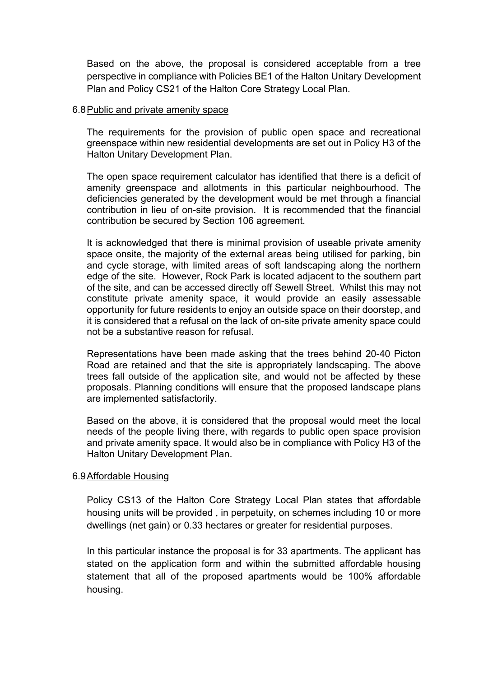Based on the above, the proposal is considered acceptable from a tree perspective in compliance with Policies BE1 of the Halton Unitary Development Plan and Policy CS21 of the Halton Core Strategy Local Plan.

#### 6.8Public and private amenity space

The requirements for the provision of public open space and recreational greenspace within new residential developments are set out in Policy H3 of the Halton Unitary Development Plan.

The open space requirement calculator has identified that there is a deficit of amenity greenspace and allotments in this particular neighbourhood. The deficiencies generated by the development would be met through a financial contribution in lieu of on-site provision. It is recommended that the financial contribution be secured by Section 106 agreement.

It is acknowledged that there is minimal provision of useable private amenity space onsite, the majority of the external areas being utilised for parking, bin and cycle storage, with limited areas of soft landscaping along the northern edge of the site. However, Rock Park is located adjacent to the southern part of the site, and can be accessed directly off Sewell Street. Whilst this may not constitute private amenity space, it would provide an easily assessable opportunity for future residents to enjoy an outside space on their doorstep, and it is considered that a refusal on the lack of on-site private amenity space could not be a substantive reason for refusal.

Representations have been made asking that the trees behind 20-40 Picton Road are retained and that the site is appropriately landscaping. The above trees fall outside of the application site, and would not be affected by these proposals. Planning conditions will ensure that the proposed landscape plans are implemented satisfactorily.

Based on the above, it is considered that the proposal would meet the local needs of the people living there, with regards to public open space provision and private amenity space. It would also be in compliance with Policy H3 of the Halton Unitary Development Plan.

## 6.9Affordable Housing

Policy CS13 of the Halton Core Strategy Local Plan states that affordable housing units will be provided , in perpetuity, on schemes including 10 or more dwellings (net gain) or 0.33 hectares or greater for residential purposes.

In this particular instance the proposal is for 33 apartments. The applicant has stated on the application form and within the submitted affordable housing statement that all of the proposed apartments would be 100% affordable housing.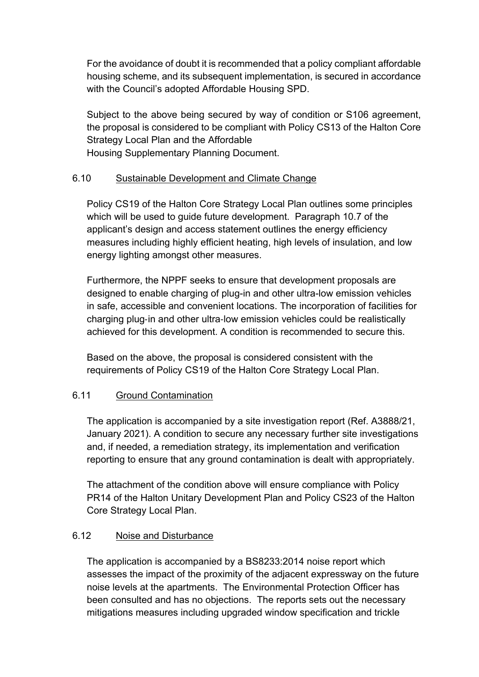For the avoidance of doubt it is recommended that a policy compliant affordable housing scheme, and its subsequent implementation, is secured in accordance with the Council's adopted Affordable Housing SPD.

Subject to the above being secured by way of condition or S106 agreement, the proposal is considered to be compliant with Policy CS13 of the Halton Core Strategy Local Plan and the Affordable Housing Supplementary Planning Document.

# 6.10 Sustainable Development and Climate Change

Policy CS19 of the Halton Core Strategy Local Plan outlines some principles which will be used to guide future development. Paragraph 10.7 of the applicant's design and access statement outlines the energy efficiency measures including highly efficient heating, high levels of insulation, and low energy lighting amongst other measures.

Furthermore, the NPPF seeks to ensure that development proposals are designed to enable charging of plug-in and other ultra-low emission vehicles in safe, accessible and convenient locations. The incorporation of facilities for charging plug‐in and other ultra‐low emission vehicles could be realistically achieved for this development. A condition is recommended to secure this.

Based on the above, the proposal is considered consistent with the requirements of Policy CS19 of the Halton Core Strategy Local Plan.

## 6.11 Ground Contamination

The application is accompanied by a site investigation report (Ref. A3888/21, January 2021). A condition to secure any necessary further site investigations and, if needed, a remediation strategy, its implementation and verification reporting to ensure that any ground contamination is dealt with appropriately.

The attachment of the condition above will ensure compliance with Policy PR14 of the Halton Unitary Development Plan and Policy CS23 of the Halton Core Strategy Local Plan.

## 6.12 Noise and Disturbance

The application is accompanied by a BS8233:2014 noise report which assesses the impact of the proximity of the adjacent expressway on the future noise levels at the apartments. The Environmental Protection Officer has been consulted and has no objections. The reports sets out the necessary mitigations measures including upgraded window specification and trickle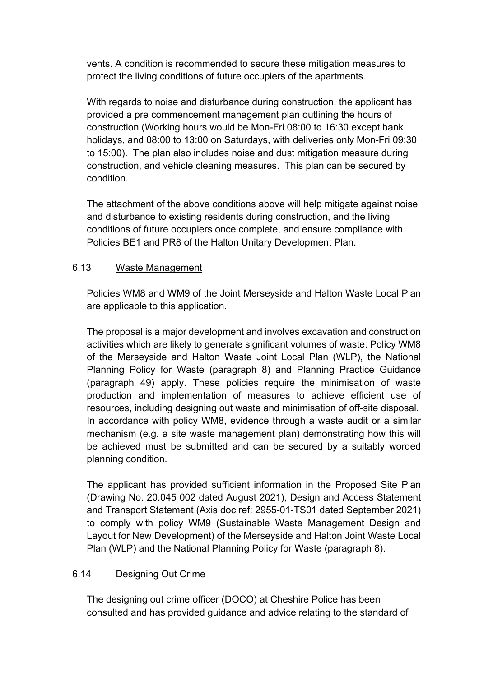vents. A condition is recommended to secure these mitigation measures to protect the living conditions of future occupiers of the apartments.

With regards to noise and disturbance during construction, the applicant has provided a pre commencement management plan outlining the hours of construction (Working hours would be Mon-Fri 08:00 to 16:30 except bank holidays, and 08:00 to 13:00 on Saturdays, with deliveries only Mon-Fri 09:30 to 15:00). The plan also includes noise and dust mitigation measure during construction, and vehicle cleaning measures. This plan can be secured by condition.

The attachment of the above conditions above will help mitigate against noise and disturbance to existing residents during construction, and the living conditions of future occupiers once complete, and ensure compliance with Policies BE1 and PR8 of the Halton Unitary Development Plan.

## 6.13 Waste Management

Policies WM8 and WM9 of the Joint Merseyside and Halton Waste Local Plan are applicable to this application.

The proposal is a major development and involves excavation and construction activities which are likely to generate significant volumes of waste. Policy WM8 of the Merseyside and Halton Waste Joint Local Plan (WLP), the National Planning Policy for Waste (paragraph 8) and Planning Practice Guidance (paragraph 49) apply. These policies require the minimisation of waste production and implementation of measures to achieve efficient use of resources, including designing out waste and minimisation of off-site disposal. In accordance with policy WM8, evidence through a waste audit or a similar mechanism (e.g. a site waste management plan) demonstrating how this will be achieved must be submitted and can be secured by a suitably worded planning condition.

The applicant has provided sufficient information in the Proposed Site Plan (Drawing No. 20.045 002 dated August 2021), Design and Access Statement and Transport Statement (Axis doc ref: 2955-01-TS01 dated September 2021) to comply with policy WM9 (Sustainable Waste Management Design and Layout for New Development) of the Merseyside and Halton Joint Waste Local Plan (WLP) and the National Planning Policy for Waste (paragraph 8).

## 6.14 Designing Out Crime

The designing out crime officer (DOCO) at Cheshire Police has been consulted and has provided guidance and advice relating to the standard of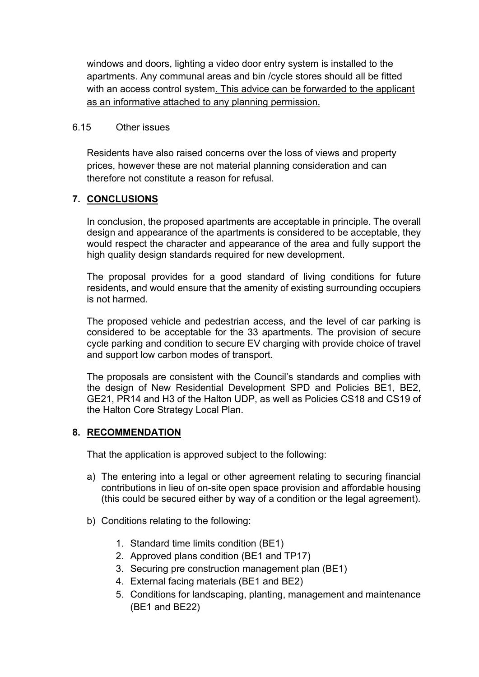windows and doors, lighting a video door entry system is installed to the apartments. Any communal areas and bin /cycle stores should all be fitted with an access control system. This advice can be forwarded to the applicant as an informative attached to any planning permission.

## 6.15 Other issues

Residents have also raised concerns over the loss of views and property prices, however these are not material planning consideration and can therefore not constitute a reason for refusal.

## **7. CONCLUSIONS**

In conclusion, the proposed apartments are acceptable in principle. The overall design and appearance of the apartments is considered to be acceptable, they would respect the character and appearance of the area and fully support the high quality design standards required for new development.

The proposal provides for a good standard of living conditions for future residents, and would ensure that the amenity of existing surrounding occupiers is not harmed.

The proposed vehicle and pedestrian access, and the level of car parking is considered to be acceptable for the 33 apartments. The provision of secure cycle parking and condition to secure EV charging with provide choice of travel and support low carbon modes of transport.

The proposals are consistent with the Council's standards and complies with the design of New Residential Development SPD and Policies BE1, BE2, GE21, PR14 and H3 of the Halton UDP, as well as Policies CS18 and CS19 of the Halton Core Strategy Local Plan.

## **8. RECOMMENDATION**

That the application is approved subject to the following:

- a) The entering into a legal or other agreement relating to securing financial contributions in lieu of on-site open space provision and affordable housing (this could be secured either by way of a condition or the legal agreement).
- b) Conditions relating to the following:
	- 1. Standard time limits condition (BE1)
	- 2. Approved plans condition (BE1 and TP17)
	- 3. Securing pre construction management plan (BE1)
	- 4. External facing materials (BE1 and BE2)
	- 5. Conditions for landscaping, planting, management and maintenance (BE1 and BE22)